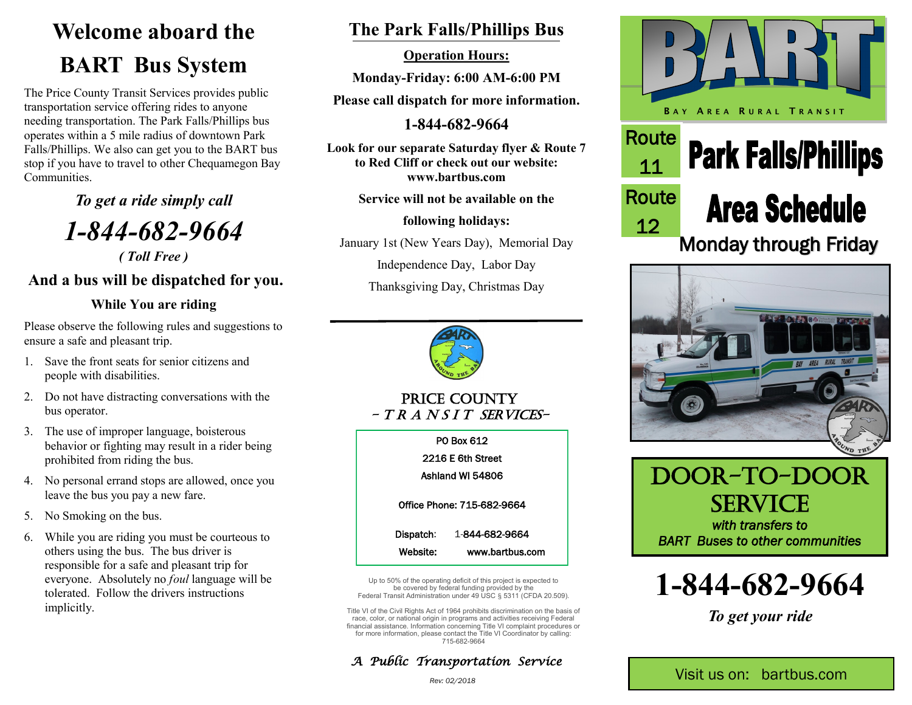# **Welcome aboard the BART Bus System**

The Price County Transit Services provides public transportation service offering rides to anyone needing transportation. The Park Falls/Phillips bus operates within a 5 mile radius of downtown Park Falls/Phillips. We also can get you to the BART bus stop if you have to travel to other Chequamegon Bay **Communities** 

*To get a ride simply call*

*1-844-682-9664*

*( Toll Free )*

### **And a bus will be dispatched for you.**

#### **While You are riding**

Please observe the following rules and suggestions to ensure a safe and pleasant trip.

- 1. Save the front seats for senior citizens and people with disabilities.
- 2. Do not have distracting conversations with the bus operator.
- 3. The use of improper language, boisterous behavior or fighting may result in a rider being prohibited from riding the bus.
- 4. No personal errand stops are allowed, once you leave the bus you pay a new fare.
- 5. No Smoking on the bus.
- 6. While you are riding you must be courteous to others using the bus. The bus driver is responsible for a safe and pleasant trip for everyone. Absolutely no *foul* language will be tolerated. Follow the drivers instructions implicitly.

### **The Park Falls/Phillips Bus**

**Operation Hours:**

**Monday-Friday: 6:00 AM-6:00 PM**

**Please call dispatch for more information.**

**1-844-682-9664**

**Look for our separate Saturday flyer & Route 7 to Red Cliff or check out our website: www.bartbus.com**

**Service will not be available on the**

**following holidays:**

January 1st (New Years Day), Memorial Day

Independence Day, Labor Day

Thanksgiving Day, Christmas Day



PRICE COUNTY  $-T R A N S I T S E R V I C E S -$ 

> PO Box 612 2216 E 6th Street

Ashland WI 54806

Office Phone: 715-682-9664

Dispatch: 1-844-682-9664 Website: www.bartbus.com

Up to 50% of the operating deficit of this project is expected to be covered by federal funding provided by the Federal Transit Administration under 49 USC § 5311 (CFDA 20.509).

Title VI of the Civil Rights Act of 1964 prohibits discrimination on the basis of race, color, or national origin in programs and activities receiving Federal financial assistance. Information concerning Title VI complaint procedures or for more information, please contact the Title VI Coordinator by calling: 715-682-9664















*To get your ride*

*Rev: 02/2018*